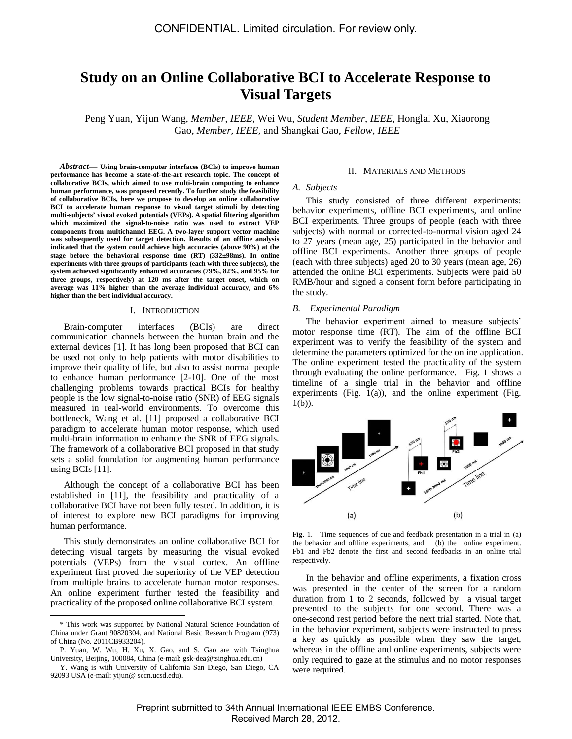# **Study on an Online Collaborative BCI to Accelerate Response to Visual Targets**

Peng Yuan, Yijun Wang, *Member*, *IEEE*, Wei Wu, *Student Member*, *IEEE*, Honglai Xu, Xiaorong Gao, *Member*, *IEEE*, and Shangkai Gao, *Fellow, IEEE*

*Abstract***— Using brain-computer interfaces (BCIs) to improve human performance has become a state-of-the-art research topic. The concept of collaborative BCIs, which aimed to use multi-brain computing to enhance human performance, was proposed recently. To further study the feasibility of collaborative BCIs, here we propose to develop an online collaborative BCI to accelerate human response to visual target stimuli by detecting multi-subjects' visual evoked potentials (VEPs). A spatial filtering algorithm which maximized the signal-to-noise ratio was used to extract VEP components from multichannel EEG. A two-layer support vector machine was subsequently used for target detection. Results of an offline analysis indicated that the system could achieve high accuracies (above 90%) at the stage before the behavioral response time (RT) (332±98ms). In online experiments with three groups of participants (each with three subjects), the system achieved significantly enhanced accuracies (79%, 82%, and 95% for three groups, respectively) at 120 ms after the target onset, which on average was 11% higher than the average individual accuracy, and 6% higher than the best individual accuracy.**

#### I. INTRODUCTION

Brain-computer interfaces (BCIs) are direct communication channels between the human brain and the external devices [1]. It has long been proposed that BCI can be used not only to help patients with motor disabilities to improve their quality of life, but also to assist normal people to enhance human performance [2-10]. One of the most challenging problems towards practical BCIs for healthy people is the low signal-to-noise ratio (SNR) of EEG signals measured in real-world environments. To overcome this bottleneck, Wang et al. [11] proposed a collaborative BCI paradigm to accelerate human motor response, which used multi-brain information to enhance the SNR of EEG signals. The framework of a collaborative BCI proposed in that study sets a solid foundation for augmenting human performance using BCIs [11].

Although the concept of a collaborative BCI has been established in [11], the feasibility and practicality of a collaborative BCI have not been fully tested. In addition, it is of interest to explore new BCI paradigms for improving human performance.

This study demonstrates an online collaborative BCI for detecting visual targets by measuring the visual evoked potentials (VEPs) from the visual cortex. An offline experiment first proved the superiority of the VEP detection from multiple brains to accelerate human motor responses. An online experiment further tested the feasibility and practicality of the proposed online collaborative BCI system.

 $\overline{a}$ 

#### II. MATERIALS AND METHODS

## *A. Subjects*

This study consisted of three different experiments: behavior experiments, offline BCI experiments, and online BCI experiments. Three groups of people (each with three subjects) with normal or corrected-to-normal vision aged 24 to 27 years (mean age, 25) participated in the behavior and offline BCI experiments. Another three groups of people (each with three subjects) aged 20 to 30 years (mean age, 26) attended the online BCI experiments. Subjects were paid 50 RMB/hour and signed a consent form before participating in the study.

# *B. Experimental Paradigm*

The behavior experiment aimed to measure subjects' motor response time (RT). The aim of the offline BCI experiment was to verify the feasibility of the system and determine the parameters optimized for the online application. The online experiment tested the practicality of the system through evaluating the online performance. Fig. 1 shows a timeline of a single trial in the behavior and offline experiments (Fig.  $1(a)$ ), and the online experiment (Fig. 1(b)).



Fig. 1. Time sequences of cue and feedback presentation in a trial in (a) the behavior and offline experiments, and (b) the online experiment. Fb1 and Fb2 denote the first and second feedbacks in an online trial respectively.

In the behavior and offline experiments, a fixation cross was presented in the center of the screen for a random duration from 1 to 2 seconds, followed by a visual target presented to the subjects for one second. There was a one-second rest period before the next trial started. Note that, in the behavior experiment, subjects were instructed to press a key as quickly as possible when they saw the target, whereas in the offline and online experiments, subjects were only required to gaze at the stimulus and no motor responses were required.

<sup>\*</sup> This work was supported by National Natural Science Foundation of China under Grant 90820304, and National Basic Research Program (973) of China (No. 2011CB933204).

P. Yuan, W. Wu, H. Xu, X. Gao, and S. Gao are with Tsinghua University, Beijing, 100084, China (e-mail: gsk-dea@tsinghua.edu.cn)

Y. Wang is with University of California San Diego, San Diego, CA 92093 USA (e-mail: yijun@ sccn.ucsd.edu).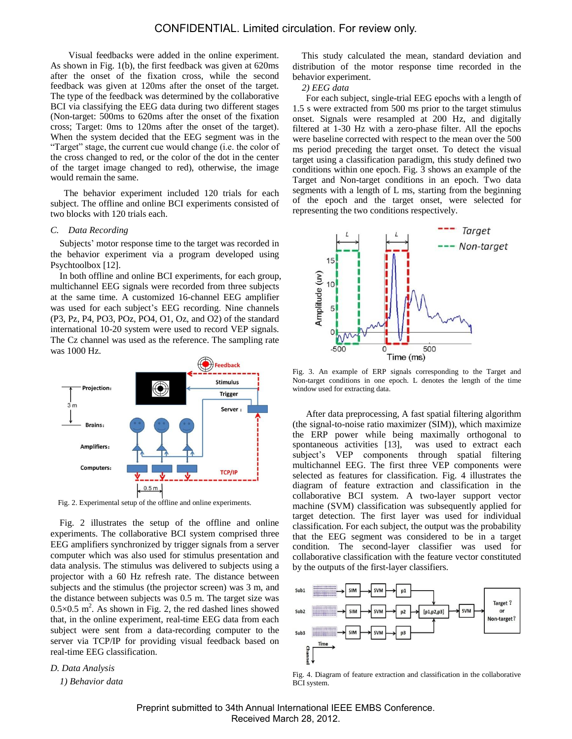# CONFIDENTIAL. Limited circulation. For review only.

Visual feedbacks were added in the online experiment. As shown in Fig. 1(b), the first feedback was given at 620ms after the onset of the fixation cross, while the second feedback was given at 120ms after the onset of the target. The type of the feedback was determined by the collaborative BCI via classifying the EEG data during two different stages (Non-target: 500ms to 620ms after the onset of the fixation cross; Target: 0ms to 120ms after the onset of the target). When the system decided that the EEG segment was in the "Target" stage, the current cue would change (i.e. the color of the cross changed to red, or the color of the dot in the center of the target image changed to red), otherwise, the image would remain the same.

The behavior experiment included 120 trials for each subject. The offline and online BCI experiments consisted of two blocks with 120 trials each.

# *C. Data Recording*

Subjects' motor response time to the target was recorded in the behavior experiment via a program developed using Psychtoolbox [12].

In both offline and online BCI experiments, for each group, multichannel EEG signals were recorded from three subjects at the same time. A customized 16-channel EEG amplifier was used for each subject's EEG recording. Nine channels (P3, Pz, P4, PO3, POz, PO4, O1, Oz, and O2) of the standard international 10-20 system were used to record VEP signals. The Cz channel was used as the reference. The sampling rate was 1000 Hz.



Fig. 2. Experimental setup of the offline and online experiments.

Fig. 2 illustrates the setup of the offline and online experiments. The collaborative BCI system comprised three EEG amplifiers synchronized by trigger signals from a server computer which was also used for stimulus presentation and data analysis. The stimulus was delivered to subjects using a projector with a 60 Hz refresh rate. The distance between subjects and the stimulus (the projector screen) was 3 m, and the distance between subjects was 0.5 m. The target size was  $0.5 \times 0.5$  m<sup>2</sup>. As shown in Fig. 2, the red dashed lines showed that, in the online experiment, real-time EEG data from each subject were sent from a data-recording computer to the server via TCP/IP for providing visual feedback based on real-time EEG classification.

*D. Data Analysis*

*1) Behavior data*

This study calculated the mean, standard deviation and distribution of the motor response time recorded in the behavior experiment.

#### *2) EEG data*

For each subject, single-trial EEG epochs with a length of 1.5 s were extracted from 500 ms prior to the target stimulus onset. Signals were resampled at 200 Hz, and digitally filtered at 1-30 Hz with a zero-phase filter. All the epochs were baseline corrected with respect to the mean over the 500 ms period preceding the target onset. To detect the visual target using a classification paradigm, this study defined two conditions within one epoch. Fig. 3 shows an example of the Target and Non-target conditions in an epoch. Two data segments with a length of L ms, starting from the beginning of the epoch and the target onset, were selected for representing the two conditions respectively.



Fig. 3. An example of ERP signals corresponding to the Target and Non-target conditions in one epoch. L denotes the length of the time window used for extracting data.

After data preprocessing, A fast spatial filtering algorithm (the signal-to-noise ratio maximizer (SIM)), which maximize the ERP power while being maximally orthogonal to spontaneous activities [13], was used to extract each subject's VEP components through spatial filtering multichannel EEG. The first three VEP components were selected as features for classification. Fig. 4 illustrates the diagram of feature extraction and classification in the collaborative BCI system. A two-layer support vector machine (SVM) classification was subsequently applied for target detection. The first layer was used for individual classification. For each subject, the output was the probability that the EEG segment was considered to be in a target condition. The second-layer classifier was used for collaborative classification with the feature vector constituted by the outputs of the first-layer classifiers.



Fig. 4. Diagram of feature extraction and classification in the collaborative BCI system.

Preprint submitted to 34th Annual International IEEE EMBS Conference. Received March 28, 2012.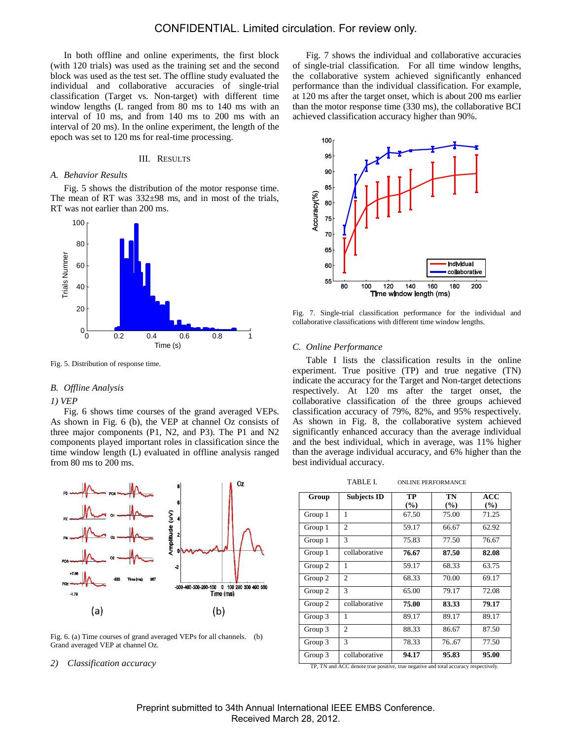In both offline and online experiments, the first block (with 120 trials) was used as the training set and the second block was used as the test set. The offline study evaluated the individual and collaborative accuracies of single-trial classification (Target vs. Non-target) with different time window lengths (L ranged from 80 ms to 140 ms with an interval of 10 ms, and from 140 ms to 200 ms with an interval of 20 ms). In the online experiment, the length of the epoch was set to 120 ms for real-time processing.

#### III. RESULTS

# *A. Behavior Results*

Fig. 5 shows the distribution of the motor response time. The mean of RT was  $332 \pm 98$  ms, and in most of the trials, RT was not earlier than 200 ms.



Fig. 5. Distribution of response time.

#### *B. Offline Analysis*

## *1) VEP*

Fig. 6 shows time courses of the grand averaged VEPs. As shown in Fig. 6 (b), the VEP at channel Oz consists of three major components (P1, N2, and P3). The P1 and N2 components played important roles in classification since the time window length (L) evaluated in offline analysis ranged from 80 ms to 200 ms.



Fig. 6. (a) Time courses of grand averaged VEPs for all channels. (b) Grand averaged VEP at channel Oz.

*2) Classification accuracy*

Fig. 7 shows the individual and collaborative accuracies of single-trial classification. For all time window lengths, the collaborative system achieved significantly enhanced performance than the individual classification. For example, at 120 ms after the target onset, which is about 200 ms earlier than the motor response time (330 ms), the collaborative BCI achieved classification accuracy higher than 90%.



Fig. 7. Single-trial classification performance for the individual and collaborative classifications with different time window lengths.

#### *C. Online Performance*

Table I lists the classification results in the online experiment. True positive (TP) and true negative (TN) indicate the accuracy for the Target and Non-target detections respectively. At 120 ms after the target onset, the collaborative classification of the three groups achieved classification accuracy of 79%, 82%, and 95% respectively. As shown in Fig. 8, the collaborative system achieved significantly enhanced accuracy than the average individual and the best individual, which in average, was 11% higher than the average individual accuracy, and 6% higher than the best individual accuracy.

| Group   | <b>Subjects ID</b> | TP     | TN     | ACC    |
|---------|--------------------|--------|--------|--------|
|         |                    | $($ %) | $($ %) | $($ %) |
| Group 1 | 1                  | 67.50  | 75.00  | 71.25  |
| Group 1 | $\overline{c}$     | 59.17  | 66.67  | 62.92  |
| Group 1 | 3                  | 75.83  | 77.50  | 76.67  |
| Group 1 | collaborative      | 76.67  | 87.50  | 82.08  |
| Group 2 | 1                  | 59.17  | 68.33  | 63.75  |
| Group 2 | 2                  | 68.33  | 70.00  | 69.17  |
| Group 2 | 3                  | 65.00  | 79.17  | 72.08  |
| Group 2 | collaborative      | 75.00  | 83.33  | 79.17  |
| Group 3 | 1                  | 89.17  | 89.17  | 89.17  |
| Group 3 | 2                  | 88.33  | 86.67  | 87.50  |
| Group 3 | $\mathcal{F}$      | 78.33  | 7667   | 77.50  |
| Group 3 | collaborative      | 94.17  | 95.83  | 95.00  |

TP, TN and ACC denote true positive, true negative and total accuracy respectively.